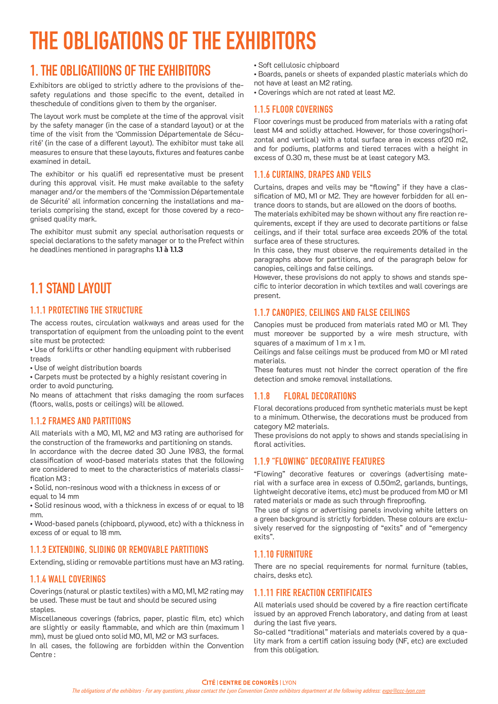# THE OBLIGATIONS OF THE EXHIBITORS

# 1. THE OBLIGATIIONS OF THE EXHIBITORS

Exhibitors are obliged to strictly adhere to the provisions of thesafety regulations and those specific to the event, detailed in theschedule of conditions given to them by the organiser.

The layout work must be complete at the time of the approval visit by the safety manager (in the case of a standard layout) or at the time of the visit from the 'Commission Départementale de Sécurité' (in the case of a different layout). The exhibitor must take all measures to ensure that these layouts, fixtures and features canbe examined in detail.

The exhibitor or his qualifi ed representative must be present during this approval visit. He must make available to the safety manager and/or the members of the 'Commission Départementale de Sécurité' all information concerning the installations and materials comprising the stand, except for those covered by a recognised quality mark.

The exhibitor must submit any special authorisation requests or special declarations to the safety manager or to the Prefect within he deadlines mentioned in paragraphs **1.1 à 1.1.3**

## 11 STAND LAYOUT

### 1.1.1 PROTECTING THE STRUCTURE

The access routes, circulation walkways and areas used for the transportation of equipment from the unloading point to the event site must be protected:

• Use of forklifts or other handling equipment with rubberised treads

• Use of weight distribution boards

• Carpets must be protected by a highly resistant covering in order to avoid puncturing.

No means of attachment that risks damaging the room surfaces (floors, walls, posts or ceilings) will be allowed.

#### 1.1.2 FRAMES AND PARTITIONS

All materials with a M0, M1, M2 and M3 rating are authorised for the construction of the frameworks and partitioning on stands.

In accordance with the decree dated 30 June 1983, the formal classification of wood-based materials states that the following are considered to meet to the characteristics of materials classification M3 :

• Solid, non-resinous wood with a thickness in excess of or equal to 14 mm

• Solid resinous wood, with a thickness in excess of or equal to 18 mm.

• Wood-based panels (chipboard, plywood, etc) with a thickness in excess of or equal to 18 mm.

### 1.1.3 EXTENDING, SLIDING OR REMOVABLE PARTITIONS

Extending, sliding or removable partitions must have an M3 rating.

#### 1.1.4 WALL COVERINGS

Coverings (natural or plastic textiles) with a M0, M1, M2 rating may be used. These must be taut and should be secured using staples.

Miscellaneous coverings (fabrics, paper, plastic film, etc) which are slightly or easily flammable, and which are thin (maximum 1 mm), must be glued onto solid M0, M1, M2 or M3 surfaces.

In all cases, the following are forbidden within the Convention Centre :

- Soft cellulosic chipboard
- Boards, panels or sheets of expanded plastic materials which do not have at least an M2 rating.
- Coverings which are not rated at least M2.

#### 1.1.5 FLOOR COVERINGS

Floor coverings must be produced from materials with a rating ofat least M4 and solidly attached. However, for those coverings(horizontal and vertical) with a total surface area in excess of20 m2, and for podiums, platforms and tiered terraces with a height in excess of 0.30 m, these must be at least category M3.

#### 1.1.6 CURTAINS, DRAPES AND VEILS

Curtains, drapes and veils may be "flowing" if they have a classification of M0, M1 or M2. They are however forbidden for all entrance doors to stands, but are allowed on the doors of booths.

The materials exhibited may be shown without any fire reaction requirements, except if they are used to decorate partitions or false ceilings, and if their total surface area exceeds 20% of the total surface area of these structures.

In this case, they must observe the requirements detailed in the paragraphs above for partitions, and of the paragraph below for canopies, ceilings and false ceilings.

However, these provisions do not apply to shows and stands specific to interior decoration in which textiles and wall coverings are present.

#### 1.1.7 CANOPIES, CEILINGS AND FALSE CEILINGS

Canopies must be produced from materials rated M0 or M1. They must moreover be supported by a wire mesh structure, with squares of a maximum of 1 m x 1 m.

Ceilings and false ceilings must be produced from M0 or M1 rated materials.

These features must not hinder the correct operation of the fire detection and smoke removal installations.

### 1.1.8 FLORAL DECORATIONS

Floral decorations produced from synthetic materials must be kept to a minimum. Otherwise, the decorations must be produced from category M2 materials.

These provisions do not apply to shows and stands specialising in floral activities.

#### 1.1.9 "FLOWING" DECORATIVE FEATURES

"Flowing" decorative features or coverings (advertising material with a surface area in excess of 0.50m2, garlands, buntings, lightweight decorative items, etc) must be produced from M0 or M1 rated materials or made as such through fireproofing.

The use of signs or advertising panels involving white letters on a green background is strictly forbidden. These colours are exclusively reserved for the signposting of "exits" and of "emergency exits".

#### 1.1.10 FURNITURE

There are no special requirements for normal furniture (tables, chairs, desks etc).

#### 1.1.11 FIRE REACTION CERTIFICATES

All materials used should be covered by a fire reaction certificate issued by an approved French laboratory, and dating from at least during the last five years.

So-called "traditional" materials and materials covered by a quality mark from a certifi cation issuing body (NF, etc) are excluded from this obligation.

#### **CITÉ | CENTRE DE CONGRÈS | LYON**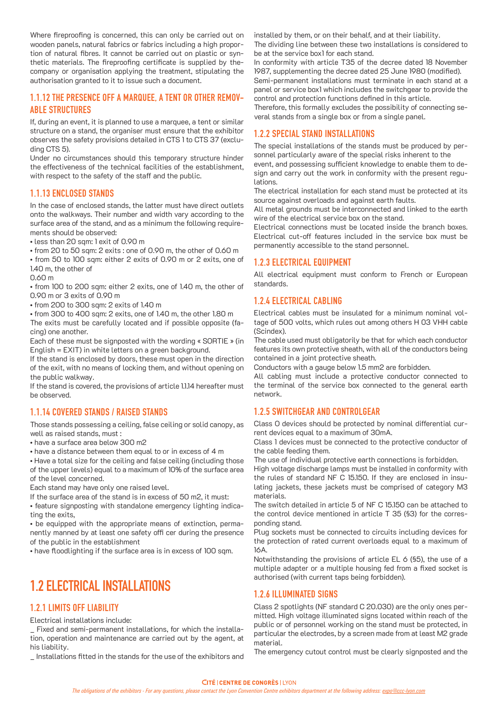Where fireproofing is concerned, this can only be carried out on wooden panels, natural fabrics or fabrics including a high proportion of natural fibres. It cannot be carried out on plastic or synthetic materials. The fireproofing certificate is supplied by thecompany or organisation applying the treatment, stipulating the authorisation granted to it to issue such a document.

#### 1.1.12 THE PRESENCE OFF A MARQUEE, A TENT OR OTHER REMOV-ABLE STRUCTURES

If, during an event, it is planned to use a marquee, a tent or similar structure on a stand, the organiser must ensure that the exhibitor observes the safety provisions detailed in CTS 1 to CTS 37 (excluding CTS 5).

Under no circumstances should this temporary structure hinder the effectiveness of the technical facilities of the establishment, with respect to the safety of the staff and the public.

#### 1.1.13 ENCLOSED STANDS

In the case of enclosed stands, the latter must have direct outlets onto the walkways. Their number and width vary according to the surface area of the stand, and as a minimum the following requirements should be observed:

• less than 20 sqm: 1 exit of 0.90 m

• from 20 to 50 sqm: 2 exits : one of 0.90 m, the other of 0.60 m

• from 50 to 100 sqm: either 2 exits of 0.90 m or 2 exits, one of 1.40 m, the other of

0.60 m

• from 100 to 200 sqm: either 2 exits, one of 1.40 m, the other of 0.90 m or 3 exits of 0.90 m

• from 200 to 300 sqm: 2 exits of 1.40 m

• from 300 to 400 sqm: 2 exits, one of 1.40 m, the other 1.80 m

The exits must be carefully located and if possible opposite (facing) one another.

Each of these must be signposted with the wording « SORTIE » (in English = EXIT) in white letters on a green background.

If the stand is enclosed by doors, these must open in the direction of the exit, with no means of locking them, and without opening on the public walkway.

If the stand is covered, the provisions of article 1.1.14 hereafter must be observed.

#### 1.1.14 COVERED STANDS / RAISED STANDS

Those stands possessing a ceiling, false ceiling or solid canopy, as well as raised stands, must :

• have a surface area below 300 m2

• have a distance between them equal to or in excess of 4 m

• Have a total size for the ceiling and false ceiling (including those of the upper levels) equal to a maximum of 10% of the surface area of the level concerned.

Each stand may have only one raised level.

If the surface area of the stand is in excess of 50 m2, it must:

• feature signposting with standalone emergency lighting indicating the exits,

• be equipped with the appropriate means of extinction, permanently manned by at least one safety offi cer during the presence of the public in the establishment

• have floodlighting if the surface area is in excess of 100 sqm.

### 1.2 ELECTRICAL INSTALLATIONS

#### 1.2.1 LIMITS OFF LIABILITY

Electrical installations include:

Fixed and semi-permanent installations, for which the installation, operation and maintenance are carried out by the agent, at his liability.

\_ Installations fitted in the stands for the use of the exhibitors and

installed by them, or on their behalf, and at their liability. The dividing line between these two installations is considered to be at the service box1 for each stand.

In conformity with article T35 of the decree dated 18 November 1987, supplementing the decree dated 25 June 1980 (modified). Semi-permanent installations must terminate in each stand at a panel or service box1 which includes the switchgear to provide the control and protection functions defined in this article.

Therefore, this formally excludes the possibility of connecting several stands from a single box or from a single panel.

#### 1.2.2 SPECIAL STAND INSTALLATIONS

The special installations of the stands must be produced by personnel particularly aware of the special risks inherent to the event, and possessing sufficient knowledge to enable them to design and carry out the work in conformity with the present regulations.

The electrical installation for each stand must be protected at its source against overloads and against earth faults.

All metal grounds must be interconnected and linked to the earth wire of the electrical service box on the stand.

Electrical connections must be located inside the branch boxes. Electrical cut-off features included in the service box must be permanently accessible to the stand personnel.

#### 1.2.3 ELECTRICAL EQUIPMENT

All electrical equipment must conform to French or European standards.

#### 1.2.4 ELECTRICAL CABLING

Electrical cables must be insulated for a minimum nominal voltage of 500 volts, which rules out among others H 03 VHH cable (Scindex).

The cable used must obligatorily be that for which each conductor features its own protective sheath, with all of the conductors being contained in a joint protective sheath.

Conductors with a gauge below 1.5 mm2 are forbidden.

All cabling must include a protective conductor connected to the terminal of the service box connected to the general earth network.

#### 1.2.5 SWITCHGEAR AND CONTROLGEAR

Class O devices should be protected by nominal differential current devices equal to a maximum of 30mA.

Class 1 devices must be connected to the protective conductor of the cable feeding them.

The use of individual protective earth connections is forbidden.

High voltage discharge lamps must be installed in conformity with the rules of standard NF C 15.150. If they are enclosed in insulating jackets, these jackets must be comprised of category M3 materials.

The switch detailed in article 5 of NF C 15.150 can be attached to the control device mentioned in article T 35 (§3) for the corresponding stand.

Plug sockets must be connected to circuits including devices for the protection of rated current overloads equal to a maximum of 16A.

Notwithstanding the provisions of article EL 6 (§5), the use of a multiple adapter or a multiple housing fed from a fixed socket is authorised (with current taps being forbidden).

#### 1.2.6 ILLUMINATED SIGNS

Class 2 spotlights (NF standard C 20.030) are the only ones permitted. High voltage illuminated signs located within reach of the public or of personnel working on the stand must be protected, in particular the electrodes, by a screen made from at least M2 grade material.

The emergency cutout control must be clearly signposted and the

#### **CITÉ | CENTRE DE CONGRÈS | LYON**